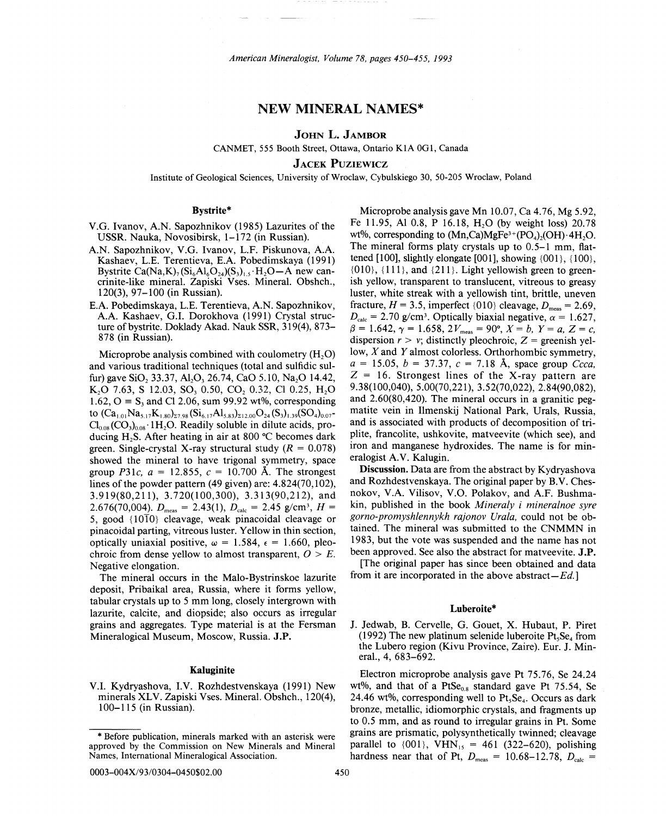American *Mineralogist, Volume* 78, *pages 450-455, 1993*

# NEW MINERAL NAMES\*

JOHN L. JAMBOR

CANMET, 555 Booth Street, Ottawa, Ontario KIA OGI, Canada

**JACEK PUZIEWICZ** 

Institute of Geological Sciences, University of Wroclaw, Cybulskiego 30, 50-205 Wroclaw, Poland

# Bystrite\*

- V.G. Ivanov, A.N. Sapozhnikov (1985) Lazurites of the USSR. Nauka, Novosibirsk, 1-172 (in Russian).
- A.N. Sapozhnikov, V.G. Ivanov, L.F. Piskunova, A.A. Kashaev, L.E. Terentieva, E.A. Pobedimskaya (1991) Bystrite Ca(Na,K)<sub>7</sub> (Si<sub>6</sub>Al<sub>6</sub>O<sub>24</sub>)(S<sub>3</sub>)<sub>1.5</sub> H<sub>2</sub>O-A new cancrinite-like mineral. Zapiski Vses. Mineral. Obshch., 120(3), 97-100 (in Russian).
- E.A. Pobedimskaya, L.E. Terentieva, A.N. Sapozhnikov, A.A. Kashaev, G.I. Dorokhova (1991) Crystal structure of by strite. Doklady Akad. Nauk SSR, 319(4), 873– 878 (in Russian).

Microprobe analysis combined with coulometry  $(H, O)$ and various traditional techniques (total and sulfidic sulfur) gave SiO, 33.37, Al<sub>2</sub>O<sub>3</sub> 26.74, CaO 5.10, Na<sub>2</sub>O 14.42, K<sub>2</sub>O 7.63, S 12.03, SO<sub>3</sub> 0.50, CO<sub>2</sub> 0.32, CI 0.25, H<sub>2</sub>O 1.62,  $Q = S<sub>3</sub>$  and Cl 2.06, sum 99.92 wt%, corresponding to  $(Ca_{1,01}Na_{5,17}K_{1,80}^-)_{27,98} (Si_{6,17}Al_{5,83}^-)_{212,00} O_{24}(S_3)_{1,39} (SO_4)_{0,07}$  $Cl<sub>0.08</sub> (CO<sub>3</sub>)<sub>0.08</sub>$  1H<sub>2</sub>O. Readily soluble in dilute acids, producing H<sub>2</sub>S. After heating in air at 800  $^{\circ}$ C becomes dark green. Single-crystal X-ray structural study  $(R = 0.078)$ showed the mineral to have trigonal symmetry, space group *P31c,*  $a = 12.855$ ,  $c = 10.700$  Å. The strongest lines of the powder pattern (49 given) are: 4.824(70,102), 3.919(80,211),3.720(100,300),3.313(90,212), and 2.676(70,004).  $D_{\text{meas}} = 2.43(1), D_{\text{calc}} = 2.45 \text{ g/cm}^3, H =$ 5, good  $\{10\overline{1}0\}$  cleavage, weak pinacoidal cleavage or pinacoidal parting, vitreous luster. Yellow in thin section, optically uniaxial positive,  $\omega = 1.584$ ,  $\epsilon = 1.660$ , pleochroic from dense yellow to almost transparent,  $O > E$ . Negative elongation.

The mineral occurs in the Malo-Bystrinskoe lazurite deposit, Pribaikal area, Russia, where it forms yellow, tabular crystals up to 5 mm long, closely intergrown with lazurite, calcite, and diopside; also occurs as irregular grains and aggregates. Type material is at the Fersman Mineralogical Museum, Moscow, Russia. J.P.

Microprobe analysis gave Mn 10.07, Ca 4.76, Mg 5.92, Fe 11.95, Al 0.8, P 16.18, H<sub>2</sub>O (by weight loss) 20.78 wt%, corresponding to  $(Mn, Ca)MgFe^{3+}(PO_4)_{0}(OH) \cdot 4H_{2}O$ . The mineral forms platy crystals up to 0.5-1 mm, flattened [100], slightly elongate [001], showing {001}, {100},  ${010}$ ,  ${111}$ , and  ${211}$ . Light vellowish green to greenish yellow, transparent to translucent, vitreous to greasy luster, white streak with a yellowish tint, brittle, uneven fracture,  $H = 3.5$ , imperfect  $\{010\}$  cleavage,  $D_{\text{meas}} = 2.69$ ,  $D_{\text{calc}} = 2.70$  g/cm<sup>3</sup>. Optically biaxial negative,  $\alpha = 1.627$ ,  $\beta = 1.642, \gamma = 1.658, 2V_{\text{meas}} = 90^{\circ}, X = b, Y = a, Z = c,$ dispersion  $r > v$ ; distinctly pleochroic,  $Z =$  greenish yellow, *X* and *Y* almost colorless. Orthorhombic symmetry, *a* = 15.05, *b* = 37.37, c = 7.18 A, space group *Ccca,*  $Z = 16$ . Strongest lines of the X-ray pattern are 9. 38( 100,040), 5.00(70,221), 3.52(70,022), 2.84(90,082), and 2.60(80,420). The mineral occurs in a granitic pegmatite vein in Ilmenskij National Park, Urals, Russia, and is associated with products of decomposition of triplite, francolite, ushkovite, matveevite (which see), and iron and manganese hydroxides. The name is for mineralogist A.V. Kalugin.

Discussion. Data are from the abstract by Kydryashova and Rozhdestvenskaya. The original paper by B.V. Chesnokov, V.A. Vilisov, V.O. Polakov, and A.F. Bushmakin, published in the book *Mineraly i mineralnoe syre gorno-promyshlennykh rajonov Urala,* could not be obtained. The mineral was submitted to the CNMMN in 1983, but the vote was suspended and the name has not been approved. See also the abstract for matveevite. J.P.

[The original paper has since been obtained and data from it are incorporated in the above *abstract-Ed.]*

# Luberoite\*

J. Jedwab, B. Cervelle, G. Gouet, X. Hubaut, P. Piret (1992) The new platinum selenide luberoite  $Pt<sub>s</sub>Se<sub>4</sub>$  from the Lubero region (Kivu Province, Zaire). Eur. J. Mineral., 4, 683-692.

Kaluginite Electron microprobe analysis gave Pt 75.76, Se 24.24 V.I. Kydryashova, I.V. Rozhdestvenskaya (1991) New wt%, and that of a PtSe<sub>0.8</sub> standard gave Pt 75.54, Se minerals XLV. Zapiski Vses. Mineral. Obshch., 120(4), 24.46 wt%, corresponding well to  $Pt_sSe_4$ . Occurs as dark 100–115 (in Russian). bronze, metallic, idiomorphic crystals, and fragments up to 0.5 mm, and as round to irregular grains in Pt. Some grains are prismatic, polysynthetically twinned; cleavage approved by the Commission on New Minerals and Mineral parallel to  $\{001\}$ , VHN<sub>15</sub> = 461 (322–620), polishing Names, International Mineralogical Association. hardness near that of Pt,  $D_{\text{meas}} = 10.68-12.78$ ,  $D_{\text{calc}} =$ 

0003-004X/93/0304-0450\$02.00 450

<sup>\*</sup> Before publication, minerals marked with an asterisk were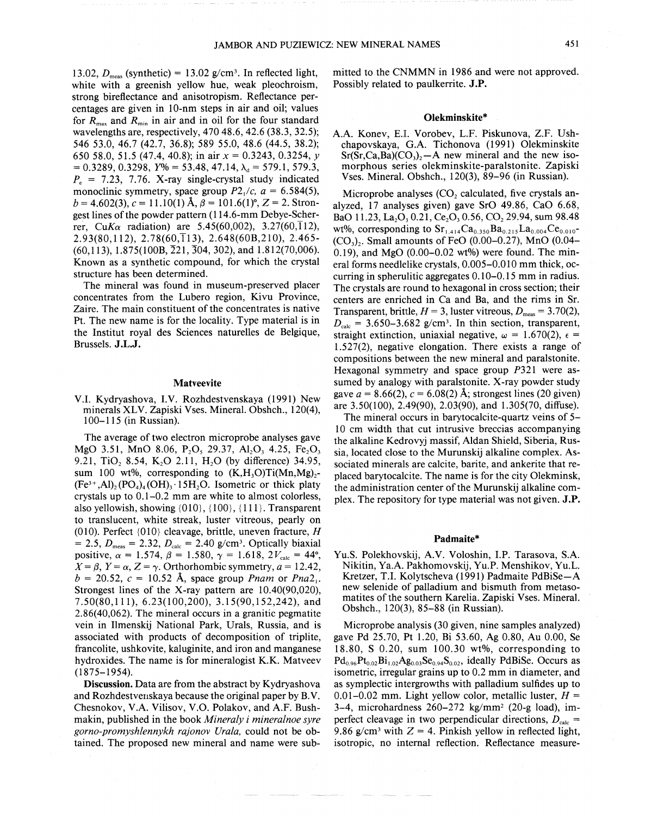13.02,  $D_{\text{meas}}$  (synthetic) = 13.02  $g/cm^3$ . In reflected light, white with a greenish yellow hue, weak pleochroism, strong bireflectance and anisotropism. Reflectance percentages are given in 10-nm steps in air and oil; values for  $R_{\text{max}}$  and  $R_{\text{min}}$  in air and in oil for the four standard wavelengths are, respectively, 470 48.6,42.6 (38.3,32.5); 546 53.0,46.7 (42.7, 36.8); 589 55.0,48.6 (44.5, 38.2); 650 58.0, 5 1.5 (47.4, 40.8); in air *x* = 0.3243, 0.3254, *y*  $= 0.3289, 0.3298, Y\% = 53.48, 47.14, \lambda_d = 579.1, 579.3,$  $P<sub>e</sub>$  = 7.23, 7.76. X-ray single-crystal study indicated monoclinic symmetry, space group  $P2<sub>1</sub>/c$ ,  $a = 6.584(5)$ ,  $b = 4.602(3), c = 11.10(1)$   $\text{\AA}$ ,  $\beta = 101.6(1)$ °,  $Z = 2$ . Strongest lines of the powder pattern (114.6-mm Debye-Scherrer, *CuKa* radiation) are 5.45(60,002), 3.27(60, $\overline{1}12$ ), 2.93(80,112), 2.78(60,113), 2.648(60B,210), 2.465-  $(60.113)$ , 1.875(100B,  $\overline{2}21$ ,  $\overline{3}04$ , 302), and 1.812(70,006). Known as a synthetic compound, for which the crystal structure has been determined.

The mineral was found in museum-preserved placer concentrates from the Lubero region, Kivu Province, Zaire. The main constituent of the concentrates is native Pt. The new name is for the locality. Type material is in the Institut royal des Sciences naturelles de Belgique, Brussels. J.L.J.

#### Matveevite

V.L Kydryashova, LV. Rozhdestvenskaya (1991) New minerals XLV. Zapiski Vses. Mineral. Obshch., 120(4), 100-115 (in Russian).

The average of two electron microprobe analyses gave MgO 3.51, MnO 8.06, P<sub>2</sub>O<sub>3</sub>, 29.37, Al<sub>2</sub>O<sub>3</sub>, 4.25, Fe<sub>2</sub>O<sub>3</sub> 9.21, TiO<sub>2</sub> 8.54, K<sub>2</sub>O 2.11, H<sub>2</sub>O (by difference) 34.95, sum 100 wt%, corresponding to  $(K,H,O)Ti(Mn,Mg)<sub>2</sub>$ - $(Fe^{3+}, Al)$ <sub>2</sub> $(PO_4)_4(OH)$ <sub>3</sub> $\cdot 15H$ <sub>2</sub>O. Isometric or thick platy crystals up to 0.1-0.2 mm are white to almost colorless, also yellowish, showing  $\{010\}$ ,  $\{100\}$ ,  $\{111\}$ . Transparent to translucent, white streak, luster vitreous, pearly on (010). Perfect {010} cleavage, brittle, uneven fracture, *H*  $= 2.5, D_{\text{meas}} = 2.32, D_{\text{calc}} = 2.40 \text{ g/cm}^3$ . Optically biaxia positive,  $\alpha = 1.574$ ,  $\beta = 1.580$ ,  $\gamma = 1.618$ ,  $2V_{\text{calc}} = 44^{\circ}$ ,  $X = \beta$ ,  $Y = \alpha$ ,  $Z = \gamma$ . Orthorhombic symmetry,  $a = 12.42$ ,  $b = 20.52$ ,  $c = 10.52$  Å, space group *Pnam* or *Pna*<sub>21</sub>. Strongest lines of the X-ray pattern are 10.40(90,020), 7.50(80,111), 6.23(100,200), 3.15(90,152,242), and 2.86( 40,062). The mineral occurs in a granitic pegmatite vein in Ilmenskij National Park, Urals, Russia, and is associated with products of decomposition of triplite, francolite, ushkovite, kaluginite, and iron and manganese hydroxides. The name is for mineralogist K.K. Matveev (1875-1954).

Discussion. Data are from the abstract by Kydryashova and Rozhdestvenskaya because the original paper by B.V. Chesnokov, V.A. Vilisov, V.O. Polakov, and A.F. Bushmakin, published in the book *Mineraly i mineralnoe syre gorno-promyshlennykh rajonov Urala,* could not be obtained. The proposed new mineral and name were submitted to the CNMMN in 1986 and were not approved. Possibly related to paulkerrite. J.P.

#### Olekminskite\*

A.A. Konev, E.L Vorobev, L.F. Piskunova, Z.F. Ushchapovskaya, G.A. Tichonova (1991) Olekminskite  $Sr(Sr, Ca, Ba)(CO<sub>3</sub>)<sub>2</sub> - A$  new mineral and the new isomorphous series olekminskite-paralstonite. Zapiski Vses. Mineral. Obshch., 120(3), 89-96 (in Russian).

Microprobe analyses  $(CO_2)$  calculated, five crystals analyzed, 17 analyses given) gave SrO 49.86, CaO 6.68, BaO 11.23, La<sub>2</sub>O<sub>3</sub> 0.21, Ce<sub>2</sub>O<sub>3</sub> 0.56, CO<sub>2</sub> 29.94, sum 98.48 wt%, corresponding to  $Sr_{1,414}Ca_{0,350}Ba_{0,215}La_{0,004}Ce_{0,010}$ - $(CO<sub>3</sub>)<sub>2</sub>$ . Small amounts of FeO (0.00–0.27), MnO (0.04– 0.19), and MgO  $(0.00-0.02 \text{ wt\%})$  were found. The mineral forms needlelike crystals, 0.005-0.010 mm thick, occurring in spherulitic aggregates 0.10-0.15 mm in radius. The crystals are round to hexagonal in cross section; their centers are enriched in Ca and Ba, and the rims in Sr. Transparent, brittle,  $H = 3$ , luster vitreous,  $D_{\text{meas}} = 3.70(2)$ ,  $D_{\text{calc}}$  = 3.650-3.682 *g/cm<sup>3</sup>*. In thin section, transparent, straight extinction, uniaxial negative,  $\omega = 1.670(2)$ ,  $\epsilon =$ 1.527(2), negative elongation. There exists a range of compositions between the new mineral and paralstonite. Hexagonal symmetry and space group *P321* were assumed by analogy with paralstonite. X-ray powder study gave  $a = 8.66(2)$ ,  $c = 6.08(2)$  Å; strongest lines (20 given) are 3.50(100), 2.49(90), 2.03(90), and 1.305(70, diffuse).

The mineral occurs in barytocalcite-quartz veins of 5-10 cm width that cut intrusive breccias accompanying the alkaline Kedrovyj massif, Aldan Shield, Siberia, Russia, located close to the Murunskij alkaline complex. Associated minerals are calcite, barite, and ankerite that replaced barytocalcite. The name is for the city Olekminsk, the administration center of the Murunskij alkaline complex. The repository for type material was not given. J.P.

#### Padmaite\*

Yu.S. Polekhovskij, A.V. Voloshin, LP. Tarasova, S.A. Nikitin, Ya.A. Pakhomovskij, Yu.P. Menshikov, Yu.L. Kretzer, T.L Kolytscheva (1991) Padmaite PdBiSe-A new selenide of palladium and bismuth from metasomatites of the southern Karelia. Zapiski Vses. Mineral. Obshch., 120(3), 85-88 (in Russian).

Microprobe analysis (30 given, nine samples analyzed) gave Pd 25.70, Pt 1.20, Bi 53.60, Ag 0.80, Au 0.00, Se 18.80, S 0.20, sum 100.30 wt%, corresponding to  $Pd_{0.96}Pt_{0.02}Bi_{1.02}Ag_{0.03}Se_{0.94}S_{0.02}$ , ideally PdBiSe. Occurs as isometric, irregular grains up to 0.2 mm in diameter, and as symplectic intergrowths with palladium sulfides up to 0.01-0.02 mm. Light yellow color, metallic luster,  $H =$ 3-4, microhardness  $260-272$  kg/mm<sup>2</sup> (20-g load), imperfect cleavage in two perpendicular directions, *Deale=* 9.86 g/cm<sup>3</sup> with  $Z = 4$ . Pinkish yellow in reflected light, isotropic, no internal reflection. Reflectance measure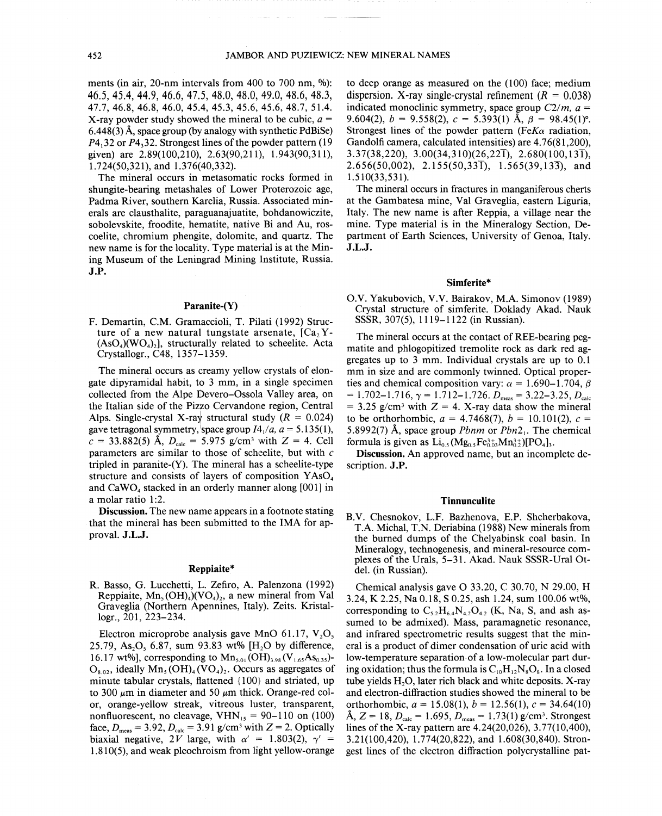ments (in air, 20-nm intervals from 400 to 700 nm, *°/0):* 46.5, 45.4, 44.9, 46.6, 47.5, 48.0, 48.0, 49.0, 48.6, 48.3, 47.7,46.8,46.8,46.0,45.4,45.3,45.6,45.6,48.7,51.4. X-ray powder study showed the mineral to be cubic, *a =*  $6.448(3)$  Å, space group (by analogy with synthetic PdBiSe) *P4.32* or *P4.32*. Strongest lines of the powder pattern (19) given) are 2.89(100,210), 2.63(90,211), 1.943(90,311), 1.724(50,321), and 1.376(40,332).

The mineral occurs in metasomatic rocks formed in shungite-bearing metashales of Lower Proterozoic age, Padma River, southern Karelia, Russia. Associated minerals are clausthalite, paraguanajuatite, bohdanowiczite, sobolevskite, froodite, hematite, native Bi and Au, roscoelite, chromium phengite, dolomite, and quartz. The new name is for the locality. Type material is at the Mining Museum of the Leningrad Mining Institute, Russia. J.P.

# Paranite-(Y)

F. Demartin, C.M. Gramaccioli, T. Pilati (1992) Structure of a new natural tungstate arsenate,  $[Ca, Y (AsO<sub>4</sub>)(WO<sub>4</sub>)$ , structurally related to scheelite. Acta Crystallogr., C48, 1357-1359.

The mineral occurs as creamy yellow crystals of elongate dipyramidal habit, to 3 mm, in a single specimen collected from the Alpe Devero-Ossola Valley area, on the Italian side of the Pizzo Cervandone region, Central Alps. Single-crystal X-ray structural study  $(R = 0.024)$ gave tetragonal symmetry, space group  $I4_1/a$ ,  $a = 5.135(1)$ ,  $c = 33.882(5)$  Å,  $D_{\text{calc}} = 5.975$  g/cm<sup>3</sup> with  $Z = 4$ . Cell parameters are similar to those of scheelite, but with  $c$ tripled in paranite- $(Y)$ . The mineral has a scheelite-type structure and consists of layers of composition  $YASO<sub>4</sub>$ and  $CaWO<sub>4</sub>$  stacked in an orderly manner along [001] in a molar ratio 1:2.

Discussion. The new name appears in a footnote stating that the mineral has been submitted to the IMA for approval. J.L.J.

#### Reppiaite\*

R. Basso, G. Lucchetti, L. Zefiro, A. Palenzona (1992) Reppiaite,  $Mn_5(OH)_4(VO_4)_2$ , a new mineral from Val Graveglia (Northern Apennines, Italy). Zeits. Kristallogr., 201, 223-234.

Electron microprobe analysis gave MnO 61.17, V<sub>2</sub>O<sub>5</sub> 25.79, As<sub>2</sub>O<sub>5</sub> 6.87, sum 93.83 wt% [H<sub>2</sub>O by difference, 16.17 wt%], corresponding to  $Mn_{5.01}(\text{OH})_{3.98}(V_{1.65}As_{0.35})$ - $O_{8.02}$ , ideally  $Mn_5(OH)_4(VO_4)$ . Occurs as aggregates of minute tabular crystals, flattened  ${100}$  and striated, up to 300  $\mu$ m in diameter and 50  $\mu$ m thick. Orange-red color, orange-yellow streak, vitreous luster, transparent, nonfluorescent, no cleavage,  $VHN_{15} = 90-110$  on (100) face,  $D_{\text{meas}} = 3.92$ ,  $D_{\text{calc}} = 3.91$  g/cm<sup>3</sup> with  $Z = 2$ . Optically biaxial negative, 2V large, with  $\alpha' = 1.803(2)$ ,  $\gamma' =$ 1.810(5), and weak pleochroism from light yellow-orange to deep orange as measured on the (100) face; medium dispersion. X-ray single-crystal refinement ( $R = 0.038$ ) indicated monoclinic symmetry, space group  $C2/m$ ,  $a =$ 9.604(2),  $b = 9.558(2)$ ,  $c = 5.393(1)$  Å,  $\beta = 98.45(1)$ <sup>o</sup> Strongest lines of the powder pattern *(FeKa* radiation, Gandolfi camera, calculated intensities) are 4.76(81,200),  $3.37(38,220), 3.00(34,310)(26,22\overline{1}), 2.680(100,13\overline{1}),$ 2.656(50,002), 2.155(50,331), 1.565(39,133), and 1. 5 1 O( 33, 5 3 1).

The mineral occurs in fractures in manganiferous cherts at the Gambatesa mine, Val Graveglia, eastern Liguria, Italy. The new name is after Reppia, a village near the mine. Type material is in the Mineralogy Section, Department of Earth Sciences, University of Genoa, Italy. J.L.J.

#### Simferite\*

O.V. Yakubovich, V.V. Bairakov, M.A. Simonov (1989) Crystal structure of simferite. Doklady Akad. Nauk SSSR, 307(5), 1119-1122 (in Russian).

The mineral occurs at the contact of REE-bearing pegmatite and phlogopitized tremolite rock as dark red aggregates up to 3 mm. Individual crystals are up to 0.1 mm in size and are commonly twinned. Optical properties and chemical composition vary:  $\alpha = 1.690 - 1.704$ ,  $\beta$  $= 1.702 - 1.716$ ,  $\gamma = 1.712 - 1.726$ .  $D_{meas} = 3.22 - 3.25$ ,  $D_{calc}$  $= 3.25$  g/cm<sup>3</sup> with  $Z = 4$ . X-ray data show the mineral to be orthorhombic,  $a = 4.7468(7)$ ,  $b = 10.101(2)$ ,  $c =$ 5.8992(7) A, space group *Pbnm* or *Pbn21.* The chemical formula is given as  $Li_{0.5}(Mg_{0.5}Fe_{0.03}^{3+}Mn_{0.2}^{3+})[PO_4]_3$ .

Discussion. An approved name, but an incomplete description. J.P.

#### Tinnunculite

B.V. Chesnokov, L.F. Bazhenova, E.P. Shcherbakova, T.A. Michal, T.N. Deriabina (1988) New minerals from the burned dumps of the Chelyabinsk coal basin. In Mineralogy, technogenesis, and mineral-resource complexes of the Urals, 5-31. Akad. Nauk SSSR-Ural Otdel. (in Russian).

Chemical analysis gave 33.20, C 30.70, N 29.00, H 3.24, K 2.25, Na 0.18, S 0.25, ash 1.24, sum 100.06 wt%, corresponding to  $C_{5,2}H_{6,4}N_{4,2}O_{4,2}$  (K, Na, S, and ash assumed to be admixed). Mass, paramagnetic resonance, and infrared spectrometric results suggest that the mineral is a product of dimer condensation of uric acid with low-temperature separation of a low-molecular part during oxidation; thus the formula is  $C_{10}H_1$ ,  $N_8O_8$ . In a closed tube yields H<sub>2</sub>O, later rich black and white deposits. X-ray and electron -diffraction studies showed the mineral to be orthorhombic,  $a = 15.08(1)$ ,  $b = 12.56(1)$ ,  $c = 34.64(10)$  $\rm \AA, Z = 18, D_{calc} = 1.695, D_{meas} = 1.73(1) \, \rm g/cm^3.$  Strongest lines of the X-ray pattern are 4.24(20,026), 3.77(10,400), 3.21 (100,420), 1.774(20,822), and 1.608(30,840). Strongest lines of the electron diffraction polycrystalline pat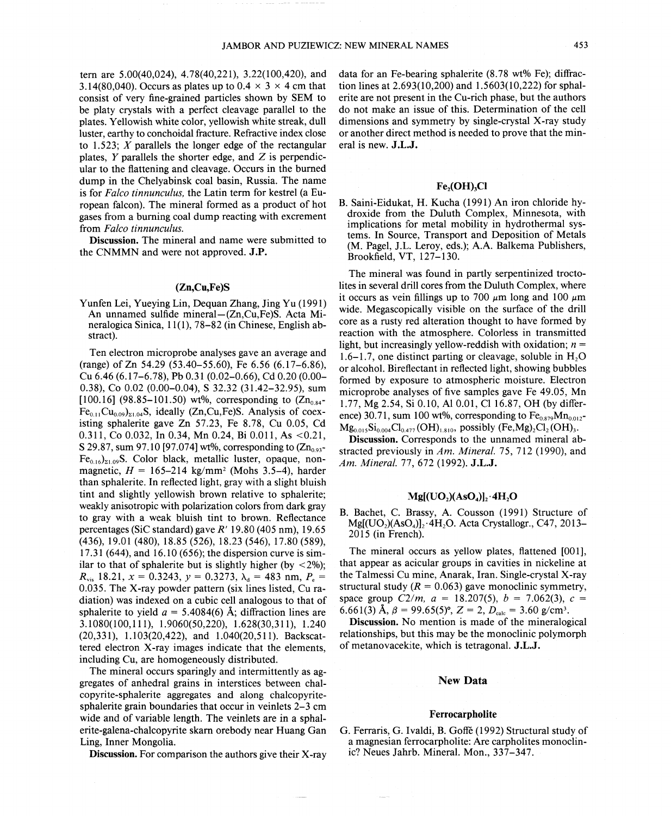tern are 5.00(40,024), 4.78(40,221), 3.22(100,420), and 3.14(80,040). Occurs as plates up to  $0.4 \times 3 \times 4$  cm that consist of very fine-grained particles shown by SEM to be platy crystals with a perfect cleavage parallel to the plates. Yellowish white color, yellowish white streak, dull luster, earthy to conchoidal fracture. Refractive index close to 1.523; *X* parallels the longer edge of the rectangular plates,  $Y$  parallels the shorter edge, and  $Z$  is perpendicular to the flattening and cleavage. Occurs in the burned dump in the Chelyabinsk coal basin, Russia. The name is for *Falco tinnunculus,* the Latin term for kestrel (a European falcon). The mineral formed as a product of hot gases from a burning coal dump reacting with excrement from *Falco tinnunculus.*

Discussion. The mineral and name were submitted to the CNMMN and were not approved. J.P.

# (Zn,Cu,Fe)S

Yunfen Lei, Yueying Lin, Dequan Zhang, Jing Yu (1991) An unnamed sulfide mineral—(Zn,Cu,Fe)S. Acta Mineralogica Sinica, 11(1), 78-82 (in Chinese, English abstract).

Ten electron microprobe analyses gave an average and (range) of Zn 54.29 (53.40-55.60), Fe 6.56 (6.17-6.86), Cu 6.46 (6.17-6.78), Pb 0.31 (0.02-0.66), Cd 0.20 (0.00- 0.38), Co 0.02 (0.00-0.04), S 32.32 (31.42-32.95), sum [100.16] (98.85–101.50) wt%, corresponding to  $(Zn_{0.84}$ - $Fe<sub>0.11</sub>Cu<sub>0.09</sub>)<sub>21.04</sub>$ S, ideally (Zn,Cu,Fe)S. Analysis of coexisting sphalerite gave Zn 57.23, Fe 8.78, Cu 0.05, Cd 0.311, Co 0.032, In 0.34, Mn 0.24, Bi 0.011, As <0.21, S 29.87, sum 97.10 [97.074] wt%, corresponding to  $(Zn_{0.93}$ - $Fe<sub>0.16</sub>$ <sub>21.09</sub>S. Color black, metallic luster, opaque, nonmagnetic,  $H = 165-214$  kg/mm<sup>2</sup> (Mohs 3.5-4), harder than sphalerite. In reflected light, gray with a slight bluish tint and slightly yellowish brown relative to sphalerite; weakly anisotropic with polarization colors from dark gray to gray with a weak bluish tint to brown. Reflectance percentages (SiC standard) gave *R'* 19.80 (405 nm), 19.65 (436),19.01 (480), 18.85 (526),18.23 (546),17.80 (589), 17.31 (644), and 16.10 (656); the dispersion curve is similar to that of sphalerite but is slightly higher (by  $\langle 2\% \rangle$ ;  $R_{vis}$  18.21,  $x = 0.3243$ ,  $y = 0.3273$ ,  $\lambda_d = 483$  nm,  $P_e =$ 0.035. The X-ray powder pattern (six lines listed, Cu radiation) was indexed on a cubic cell analogous to that of sphalerite to yield  $a = 5.4084(6)$  Å; diffraction lines are 3.1 080( 100,111), 1.9060(50,220), 1.628(30,311), 1.240 (20,331), 1.103(20,422), and 1.040(20,511). Backscattered electron X-ray images indicate that the elements, including Cu, are homogeneously distributed.

The mineral occurs sparingly and intermittently as aggregates of anhedral grains in interstices between chalcopyrite-sphalerite aggregates and along chalcopyritesphalerite grain boundaries that occur in veinlets 2-3 cm wide and of variable length. The veinlets are in a sphalerite-galena-chalcopyrite skarn orebody near Huang Gan Ling, Inner Mongolia.

Discussion. For comparison the authors give their X-ray

data for an Fe-bearing sphalerite (8.78 wt% Fe); diffraction lines at  $2.693(10,200)$  and  $1.5603(10,222)$  for sphalerite are not present in the Cu-rich phase, but the authors do not make an issue of this. Determination of the cell dimensions and symmetry by single-crystal X-ray study or another direct method is needed to prove that the mineral is new. J.L.J.

# $Fe<sub>2</sub>(OH)<sub>3</sub>Cl$

B. Saini-Eidukat, H. Kucha (1991) An iron chloride hydroxide from the Duluth Complex, Minnesota, with implications for metal mobility in hydrothermal systems. In Source, Transport and Deposition of Metals (M. Pagel, J.L. Leroy, eds.); A.A. Balkema Publishers, Brookfield, V'f, 127-130.

The mineral was found in partly serpentinized troctolites in several drill cores from the Duluth Complex, where it occurs as vein fillings up to 700  $\mu$ m long and 100  $\mu$ m wide. Megascopically visible on the surface of the drill core as a rusty red alteration thought to have formed by reaction with the atmosphere. Colorless in transmitted light, but increasingly yellow-reddish with oxidation; *n =*  $1.6-1.7$ , one distinct parting or cleavage, soluble in  $H<sub>2</sub>O$ or alcohol. Bireflectant in reflected light, showing bubbles formed by exposure to atmospheric moisture. Electron microprobe analyses of five samples gave Fe 49.05, Mn 1.77, Mg 2.54, Si 0.10, Al 0.01, CI 16.87, OR (by difference) 30.71, sum 100 wt%, corresponding to  $Fe<sub>0.879</sub>Mn<sub>0.012</sub>$ - $Mg_{0.015}Si_{0.004}Cl_{0.477}(OH)_{1.810}$ , possibly (Fe,Mg)<sub>2</sub>Cl<sub>2</sub>(OH)<sub>3</sub>.

Discussion. Corresponds to the unnamed mineral abstracted previously in *Am. Mineral.* 75, 712 (1990), and *Am. Mineral.* 77,672 (1992). J.L.J.

# $Mg[(UO<sub>2</sub>)(AsO<sub>4</sub>)]<sub>2</sub>·4H<sub>2</sub>O$

B. Bachet, C. Brassy, A. Cousson (1991) Structure of  $Mg[(UO<sub>2</sub>)(AsO<sub>4</sub>)]<sub>2</sub>·4H<sub>2</sub>O$ . Acta Crystallogr., C47, 2013-2015 (in French).

The mineral occurs as yellow plates, flattened [001], that appear as acicular groups in cavities in nickeline at the Talmessi Cu mine, Anarak, Iran. Single-crystal X -ray structural study  $(R = 0.063)$  gave monoclinic symmetry, space group  $C2/m$ ,  $a = 18.207(5)$ ,  $b = 7.062(3)$ ,  $c =$ 6.661(3)  $\rm \AA$ ,  $\beta = 99.65(5)$ °,  $Z = 2$ ,  $D_{\rm calc} = 3.60$  g/cm<sup>3</sup>

Discussion. No mention is made of the mineralogical relationships, but this may be the monoclinic polymorph of metanovacekite, which is tetragonal. J.L.J.

#### New Data

#### Ferrocarpholite

G. Ferraris, G. Ivaldi, B. Goffe (1992) Structural study of a magnesian ferrocarpholite: Are carpholites monoclinic? Neues Jahrb. Mineral. Mon., 337-347.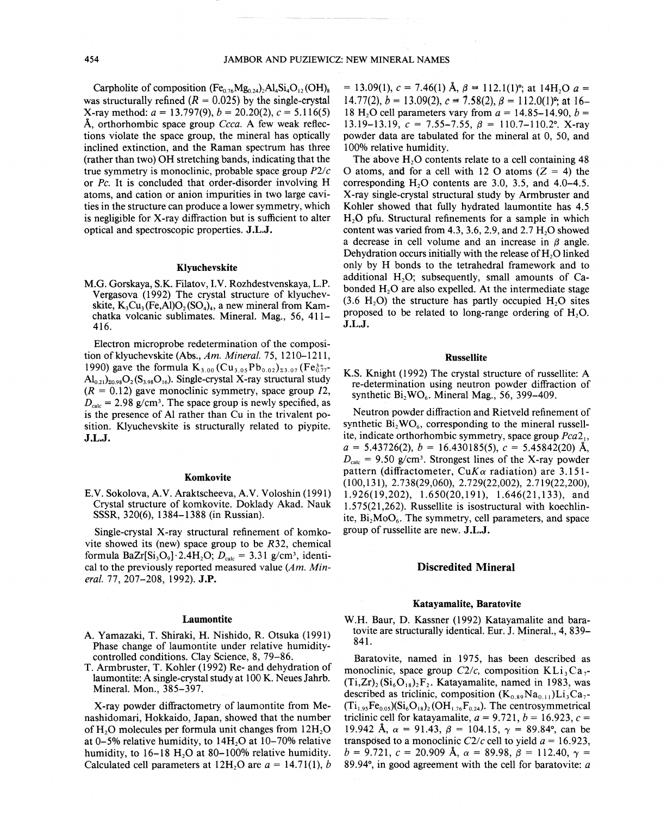Carpholite of composition  $(Fe_{0.76}Mg_{0.24})_2Al_4Si_4O_{12}(OH)_8$ was structurally refined  $(R = 0.025)$  by the single-crystal X-ray method:  $a = 13.797(9)$ ,  $b = 20.20(2)$ ,  $c = 5.116(5)$ Å, orthorhombic space group *Ccca*. A few weak reflections. violate the space group, the mineral has optically inclined extinction, and the Raman spectrum has three (rather than two) OH stretching bands, indicating that the true symmetry is monoclinic, probable space group  $P2/c$ or *Pc.* It is concluded that order-disorder involving H atoms, and cation or anion impurities in two large cavities in the structure can produce a lower symmetry, which is negligible for X-ray diffraction but is sufficient to alter optical and spectroscopic properties. J.L.J.

# Klyuchevskite

M.G. Gorskaya, S.K. Filatov, LV. Rozhdestvenskaya, L.P. Vergasova (1992) The crystal structure of klyuchevskite,  $K_3Cu_3(Fe, Al)O_2(SO_4)_4$ , a new mineral from Kamchatka volcanic sublimates. Mineral. Mag., 56, 411-416.

Electron microprobe redetermination of the composition of klyuchevskite (Abs., *Am. Mineral.* 75, 1210-1211, 1990) gave the formula  $K_{3,00}$  (Cu<sub>3.05</sub>Pb<sub>0.02</sub>)<sub>23.07</sub> (Fe<sub>0.17</sub>- $\text{Al}_{0.21}$ <sub>20.98</sub> $\text{O}_2(\text{S}_{3.98}\text{O}_{16})$ . Single-crystal X-ray structural study  $(R = 0.12)$  gave monoclinic symmetry, space group  $I2$ ,  $D_{\text{sub}} = 2.98$  g/cm<sup>3</sup>. The space group is newly specified, as is the presence of Al rather than Cu in the trivalent position. Klyuchevskite is structurally related to piypite. J.L.J.

## Komkovite

E.V. Sokolova, A. V. Araktscheeva, A.V. Voloshin (1991) Crystal structure of komkovite. Doklady Akad. Nauk SSSR, 320(6), 1384-1388 (in Russian).

Single-crystal X-ray structural refinement of komkovite showed its (new) space group to be *R32,* chemical formula BaZr[Si<sub>3</sub>O<sub>9</sub>]. 2.4H<sub>2</sub>O;  $D_{\text{calc}} = 3.31$  g/cm<sup>3</sup>, identical to the previously reported measured value *(Am. Mineral.* 77,207-208, 1992). J.P.

#### Laumontite

- A. Yamazaki, T. Shiraki, H. Nishido, R.. Otsuka (1991) Phase change of laumontite under relative humiditycontrolled conditions. Clay Science, 8, 79-86.
- T. Armbruster, T. Kohler (1992) Re- and dehydration of laumontite: A single-crystal study at 100 K. Neues Jahrb. Mineral. Mon., 385-397.

X-ray powder diffractometry of laumontite from Me.. nashidomari, Hokkaido, Japan, showed that the number of  $H<sub>2</sub>O$  molecules per formula unit changes from  $12H<sub>2</sub>O$ at 0-5% relative humidity, to  $14H<sub>2</sub>O$  at 10-70% relative humidity, to 16-18 H<sub>2</sub>O at 80-100% relative humidity. Calculated cell parameters at  $12H<sub>2</sub>O$  are  $a = 14.71(1)$ , *b*   $= 13.09(1)$ ,  $c = 7.46(1)$  Å,  $\beta = 112.1(1)$ °; at 14H<sub>2</sub>O  $a =$ 14.77(2),  $b = 13.09(2)$ ,  $c = 7.58(2)$ ,  $\beta = 112.0(1)$ <sup>o</sup>; at 16-18 H<sub>2</sub>O cell parameters vary from  $a = 14.85 - 14.90$ ,  $b =$ 13.19-13.19,  $c = 7.55 - 7.55$ ,  $\beta = 110.7 - 110.2^{\circ}$ . X-ray powder data are tabulated for the mineral at 0, 50, and 100% relative humidity.

The above H<sub>2</sub>O contents relate to a cell containing 48 O atoms, and for a cell with 12 O atoms  $(Z = 4)$  the corresponding  $H<sub>2</sub>O$  contents are 3.0, 3.5, and 4.0–4.5. X-ray single-crystal structural study by Armbruster and Kohler showed that fully hydrated laumontite has 4.5 H20 pfu. Structural refinements for a sample in which content was varied from 4.3, 3.6, 2.9, and 2.7  $H<sub>2</sub>O$  showed a decrease in cell volume and an increase in  $\beta$  angle. Dehydration occurs initially with the release of H<sub>2</sub>O linked only by H bonds to the tetrahedral framework and to additional  $H<sub>2</sub>O$ ; subsequently, small amounts of Cabonded H<sub>2</sub>O are also expelled. At the intermediate stage  $(3.6 H<sub>2</sub>O)$  the structure has partly occupied H<sub>2</sub>O sites proposed to be related to long-range ordering of  $H<sub>2</sub>O$ . J.L.J.

# Russellite

K.S. Knight (1992) The crystal structure of russellite: A re-determination using neutron powder diffraction of synthetic  $Bi_2WO_6$ . Mineral Mag., 56, 399-409.

Neutron powder diffraction and Rietveld refinement of synthetic  $Bi<sub>2</sub>WO<sub>6</sub>$ , corresponding to the mineral russellite, indicate orthorhombic symmetry, space group *Pca21,*  $a = 5.43726(2), b = 16.430185(5), c = 5.45842(20)$  Å,  $D_{\text{calc}}$  = 9.50 g/cm<sup>3</sup>. Strongest lines of the X-ray powder pattern (diffractometer,  $CuK\alpha$  radiation) are 3.151-(100,131), 2.738(29,060), 2.729(22,002), 2.719(22,200), 1.926(19,202), 1.650(20,191), 1.646(21,133), and 1.575(21,262). Russellite is isostructural with koechlinite,  $Bi_2MoO_6$ . The symmetry, cell parameters, and space group of russellite are new. J.L.J.

#### Discredited Mineral

#### Katayamalite, Baratovite

W.H. Baur, D. Kassner (1992) Katayamalite and baratovite are structurally identical. Eur. J. Mineral., 4, 839-  $841.$ 

Baratovite, named in 1975, has been described as monoclinic, space group  $C2/c$ , composition KLi<sub>3</sub>Ca<sub>7</sub>- $(Ti,Zr)_{2} (Si_{6}O_{18})_{2}F_{2}$ . Katayamalite, named in 1983, was described as triclinic, composition  $(K_{0.89}Na_{0.11})Li_3Ca_7$ - $(Ti_{1.95}Fe_{0.05})(Si_6O_{18})_2(OH_{1.76}Fe_{0.24})$ . The centrosymmetrical triclinic cell for katayamalite,  $a = 9.721$ ,  $b = 16.923$ ,  $c =$ 19.942 A,  $\alpha = 91.43$ ,  $\beta = 104.15$ ,  $\gamma = 89.84$ °, can be transposed to a monoclinic  $C2/c$  cell to yield  $a = 16.923$ , *b* = 9.721,  $c = 20.909$  Å,  $\alpha = 89.98$ ,  $\beta = 112.40$ ,  $\gamma =$ 89.94 $\degree$ , in good agreement with the cell for baratovite: a